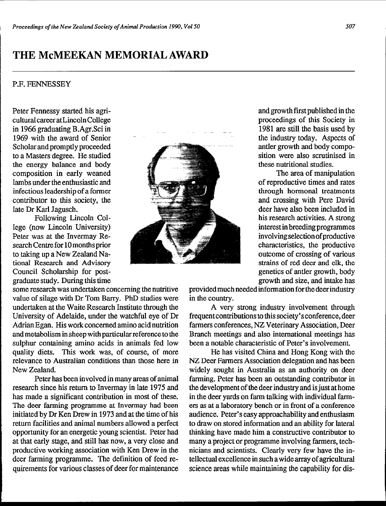## **THE McMEEKAN MEMORIAL AWARD**

## P.F. FENNESSEY

Peter Fennessy started his agricultural career at Lincoln College in 1966 graduating B.Agr.Sci in 1969 with the award of Senior Scholar and promptly proceeded to a Masters degree. He studied the energy balance and body composition in early weaned lambs under the enthusiastic and infectious leadership of a former contributor to this society, the late Dr Karl Jagusch.

Following Lincoln College (now Lincoln University) Peter was at the Invermay Research Centre for 10 months prior to taking up a New Zealand National Research and Advisory Council Scholarship for postgraduate study. During this time

some research was undertaken concerning the nutritive value of silage with Dr Tom Barry. PhD studies were undertaken at the Waite Research Institute through the University of Adelaide, under the watchful eye of Dr Adrian Egan. His work concerned amino acid nutrition and metabolism in sheep with particular reference to the sulphur containing amino acids in animals fed low quality diets. This work was, of course, of more relevance to Australian conditions than those here in New Zealand.

Peter has been involved in many areas of animal research since his return to Invermay in late 1975 and has made a significant contribution in most of these. The deer farming programme at Invermay had been initiated by Dr Ken Drew in 1973 and at the time of his return facilities and animal numbers allowed a perfect opportunity for an energetic young scientist. Peter had at that early stage, and still has now, a very close and productive working association with Ken Drew in the deer farming programme. The definition of feed requirements for various classes of deer for maintenance

outcome of crossing of various strains of red deer and elk, the genetics of antler growth, body growth and size, and intake has provided **much** needed information for the deer industry in the country.

A very strong industry involvement through frequentcontributions to this society's conference, deer farmers conferences, NZ Veterinary Association, Deer Branch meetings and also international meetings has been a notable characteristic of Peter's involvement.

He has visited China and Hong Kong with the NZ Deer Farmers Association delegation and has been widely sought in Australia as an authority on deer farming. Peter has been an outstanding contributor in the development of the deer industry and is just at home in the deer yards on farm talking with individual farmers as at a laboratory bench or in front of a conference audience. Peter's easy approachability and enthusiasm to draw on stored information and an ability for lateral thinking have made him a constructive contributor to many a project or programme involving farmers, technicians and scientists. Clearly very few have the intellectual excellence in such a wide array of agricultural science areas while maintaining the capability for dis-

and growth first published in the proceedings of this Society in 1981 are still the basis used by the industry today. Aspects of antler growth and body composition were also scrutinised in these nutritional studies.

The area of manipulation of reproductive times and rates through hormonal treatments and crossing with Pere David deer have also been included in his research activities. A strong interest in breeding programmes involvingselectionofproductive characteristics, the productive